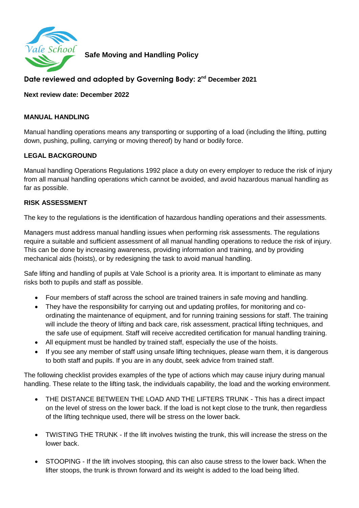

**Safe Moving and Handling Policy** 

# **Date reviewed and adopted by Governing Body: 2 nd December 2021**

**Next review date: December 2022**

#### **MANUAL HANDLING**

Manual handling operations means any transporting or supporting of a load (including the lifting, putting down, pushing, pulling, carrying or moving thereof) by hand or bodily force.

## **LEGAL BACKGROUND**

Manual handling Operations Regulations 1992 place a duty on every employer to reduce the risk of injury from all manual handling operations which cannot be avoided, and avoid hazardous manual handling as far as possible.

### **RISK ASSESSMENT**

The key to the regulations is the identification of hazardous handling operations and their assessments.

Managers must address manual handling issues when performing risk assessments. The regulations require a suitable and sufficient assessment of all manual handling operations to reduce the risk of injury. This can be done by increasing awareness, providing information and training, and by providing mechanical aids (hoists), or by redesigning the task to avoid manual handling.

Safe lifting and handling of pupils at Vale School is a priority area. It is important to eliminate as many risks both to pupils and staff as possible.

- Four members of staff across the school are trained trainers in safe moving and handling.
- They have the responsibility for carrying out and updating profiles, for monitoring and coordinating the maintenance of equipment, and for running training sessions for staff. The training will include the theory of lifting and back care, risk assessment, practical lifting techniques, and the safe use of equipment. Staff will receive accredited certification for manual handling training.
- All equipment must be handled by trained staff, especially the use of the hoists.
- If you see any member of staff using unsafe lifting techniques, please warn them, it is dangerous to both staff and pupils. If you are in any doubt, seek advice from trained staff.

The following checklist provides examples of the type of actions which may cause injury during manual handling. These relate to the lifting task, the individuals capability, the load and the working environment.

- THE DISTANCE BETWEEN THE LOAD AND THE LIFTERS TRUNK This has a direct impact on the level of stress on the lower back. If the load is not kept close to the trunk, then regardless of the lifting technique used, there will be stress on the lower back.
- TWISTING THE TRUNK If the lift involves twisting the trunk, this will increase the stress on the lower back.
- STOOPING If the lift involves stooping, this can also cause stress to the lower back. When the lifter stoops, the trunk is thrown forward and its weight is added to the load being lifted.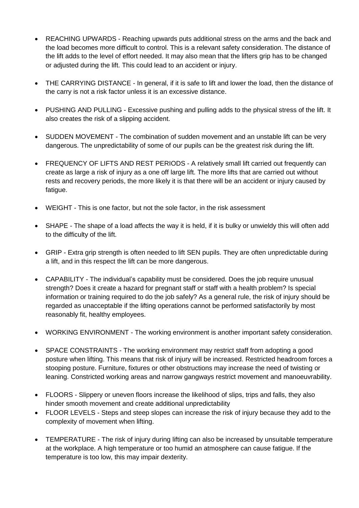- REACHING UPWARDS Reaching upwards puts additional stress on the arms and the back and the load becomes more difficult to control. This is a relevant safety consideration. The distance of the lift adds to the level of effort needed. It may also mean that the lifters grip has to be changed or adjusted during the lift. This could lead to an accident or injury.
- THE CARRYING DISTANCE In general, if it is safe to lift and lower the load, then the distance of the carry is not a risk factor unless it is an excessive distance.
- PUSHING AND PULLING Excessive pushing and pulling adds to the physical stress of the lift. It also creates the risk of a slipping accident.
- SUDDEN MOVEMENT The combination of sudden movement and an unstable lift can be very dangerous. The unpredictability of some of our pupils can be the greatest risk during the lift.
- FREQUENCY OF LIFTS AND REST PERIODS A relatively small lift carried out frequently can create as large a risk of injury as a one off large lift. The more lifts that are carried out without rests and recovery periods, the more likely it is that there will be an accident or injury caused by fatigue.
- WEIGHT This is one factor, but not the sole factor, in the risk assessment
- SHAPE The shape of a load affects the way it is held, if it is bulky or unwieldy this will often add to the difficulty of the lift.
- GRIP Extra grip strength is often needed to lift SEN pupils. They are often unpredictable during a lift, and in this respect the lift can be more dangerous.
- CAPABILITY The individual's capability must be considered. Does the job require unusual strength? Does it create a hazard for pregnant staff or staff with a health problem? Is special information or training required to do the job safely? As a general rule, the risk of injury should be regarded as unacceptable if the lifting operations cannot be performed satisfactorily by most reasonably fit, healthy employees.
- WORKING ENVIRONMENT The working environment is another important safety consideration.
- SPACE CONSTRAINTS The working environment may restrict staff from adopting a good posture when lifting. This means that risk of injury will be increased. Restricted headroom forces a stooping posture. Furniture, fixtures or other obstructions may increase the need of twisting or leaning. Constricted working areas and narrow gangways restrict movement and manoeuvrability.
- FLOORS Slippery or uneven floors increase the likelihood of slips, trips and falls, they also hinder smooth movement and create additional unpredictability
- FLOOR LEVELS Steps and steep slopes can increase the risk of injury because they add to the complexity of movement when lifting.
- TEMPERATURE The risk of injury during lifting can also be increased by unsuitable temperature at the workplace. A high temperature or too humid an atmosphere can cause fatigue. If the temperature is too low, this may impair dexterity.